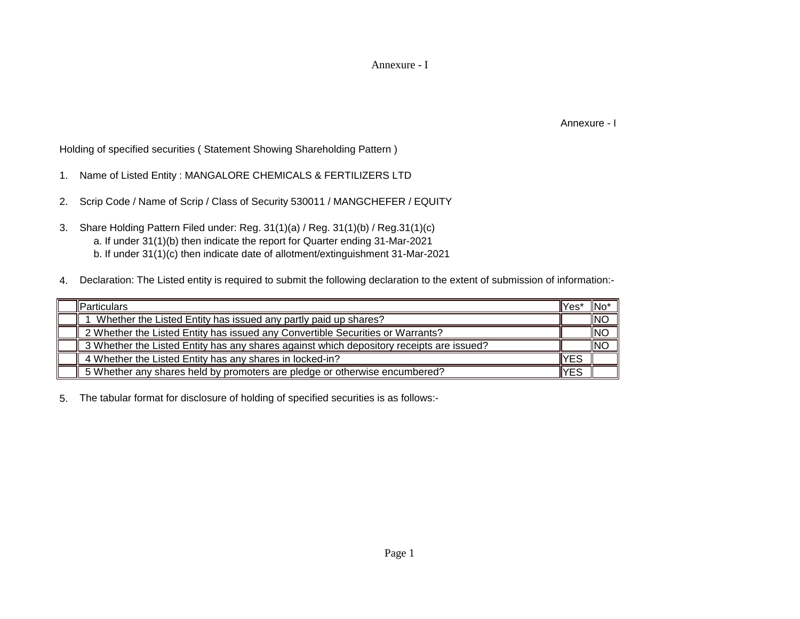Annexure - I

Annexure - I

Holding of specified securities ( Statement Showing Shareholding Pattern )

- 1. Name of Listed Entity : MANGALORE CHEMICALS & FERTILIZERS LTD
- 2. Scrip Code / Name of Scrip / Class of Security 530011 / MANGCHEFER / EQUITY
- 3. b. If under 31(1)(c) then indicate date of allotment/extinguishment 31-Mar-2021 Share Holding Pattern Filed under: Reg. 31(1)(a) / Reg. 31(1)(b) / Reg.31(1)(c) a. If under 31(1)(b) then indicate the report for Quarter ending 31-Mar-2021
- 4. Declaration: The Listed entity is required to submit the following declaration to the extent of submission of information:-

| Particulars                                                                                          | lYes'      | <b>INC</b> |
|------------------------------------------------------------------------------------------------------|------------|------------|
| Whether the Listed Entity has issued any partly paid up shares?                                      |            | INO        |
| 2 Whether the Listed Entity has issued any Convertible Securities or Warrants?                       |            | INO        |
| $\parallel$ 3 Whether the Listed Entity has any shares against which depository receipts are issued? |            | <b>INC</b> |
| 4 Whether the Listed Entity has any shares in locked-in?                                             | <b>YES</b> |            |
| 5 Whether any shares held by promoters are pledge or otherwise encumbered?                           | <b>YES</b> |            |

5. The tabular format for disclosure of holding of specified securities is as follows:-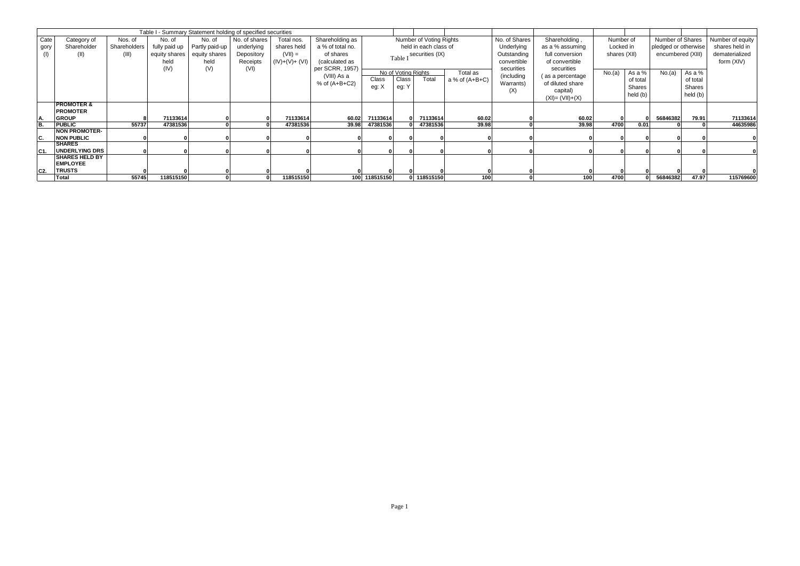|                     |                                                            |                                  |                                         | Table I - Summary Statement holding of specified securities     |                                                       |                                                         |                                                                                       |                            |                                       |                                                                             |                              |                                                           |                                                                                      |                                        |                                          |                                                               |                                          |                                                                    |
|---------------------|------------------------------------------------------------|----------------------------------|-----------------------------------------|-----------------------------------------------------------------|-------------------------------------------------------|---------------------------------------------------------|---------------------------------------------------------------------------------------|----------------------------|---------------------------------------|-----------------------------------------------------------------------------|------------------------------|-----------------------------------------------------------|--------------------------------------------------------------------------------------|----------------------------------------|------------------------------------------|---------------------------------------------------------------|------------------------------------------|--------------------------------------------------------------------|
| Cate<br>gory<br>(1) | Category of<br>Shareholder<br>(II)                         | Nos. of<br>Shareholders<br>(III) | No. of<br>fully paid up<br>held<br>(IV) | No. of<br>Partly paid-up<br>equity shares equity shares<br>held | No. of shares<br>underlying<br>Depository<br>Receipts | Total nos.<br>shares held<br>$(VII) =$<br>$(N)+(V)+(V)$ | Shareholding as<br>a % of total no.<br>of shares<br>(calculated as<br>per SCRR, 1957) |                            |                                       | Number of Voting Rights<br>held in each class of<br>Table I securities (IX) |                              | No. of Shares<br>Underlying<br>Outstanding<br>convertible | Shareholding,<br>as a % assuming<br>full conversion<br>of convertible                | Number of<br>Locked in<br>shares (XII) |                                          | Number of Shares<br>pledged or otherwise<br>encumbered (XIII) |                                          | Number of equity<br>shares held in<br>dematerialized<br>form (XIV) |
|                     |                                                            |                                  |                                         | (V)                                                             | (VI)                                                  |                                                         | (VIII) As a<br>$%$ of $(A+B+C2)$                                                      | Class<br>eg: X             | No of Voting Rights<br>Class<br>eg: Y | Total                                                                       | Total as<br>a % of $(A+B+C)$ | securities<br>(including<br>Warrants)<br>(X)              | securities<br>(as a percentage<br>of diluted share<br>capital)<br>$(XI) = (VII)+(X)$ | No.(a)                                 | As a %<br>of total<br>Shares<br>held (b) | No.(a)                                                        | As a %<br>of total<br>Shares<br>held (b) |                                                                    |
|                     | <b>PROMOTER &amp;</b><br><b>PROMOTER</b>                   |                                  |                                         |                                                                 |                                                       |                                                         |                                                                                       |                            |                                       |                                                                             |                              |                                                           |                                                                                      |                                        |                                          |                                                               |                                          |                                                                    |
| B.                  | <b>GROUP</b><br><b>PUBLIC</b>                              | 55737                            | 71133614<br>47381536                    |                                                                 |                                                       | 71133614<br>47381536                                    | 39.98                                                                                 | 60.02 71133614<br>47381536 |                                       | 71133614<br>47381536                                                        | 60.02<br>39.98               |                                                           | 60.02<br>39.98                                                                       | 4700                                   | 0.01                                     | 56846382                                                      | 79.91                                    | 71133614<br>44635986                                               |
|                     | <b>NON PROMOTER-</b>                                       |                                  |                                         |                                                                 |                                                       |                                                         |                                                                                       |                            |                                       |                                                                             |                              |                                                           |                                                                                      |                                        |                                          |                                                               |                                          |                                                                    |
| IC.                 | <b>NON PUBLIC</b>                                          |                                  |                                         |                                                                 |                                                       |                                                         |                                                                                       |                            |                                       |                                                                             |                              |                                                           |                                                                                      |                                        |                                          |                                                               |                                          |                                                                    |
| C1.                 | <b>SHARES</b><br><b>UNDERLYING DRS</b>                     |                                  |                                         |                                                                 |                                                       |                                                         |                                                                                       |                            |                                       |                                                                             |                              |                                                           |                                                                                      |                                        |                                          |                                                               |                                          |                                                                    |
| C2.                 | <b>ISHARES HELD BY</b><br><b>EMPLOYEE</b><br><b>TRUSTS</b> |                                  |                                         |                                                                 |                                                       |                                                         |                                                                                       |                            |                                       |                                                                             |                              |                                                           |                                                                                      |                                        |                                          |                                                               |                                          |                                                                    |
|                     | Total                                                      | 55745                            | 118515150                               |                                                                 |                                                       | 118515150                                               |                                                                                       | 100 118515150              |                                       | 0 118515150                                                                 | 100 <sup>1</sup>             |                                                           | 100 <sub>1</sub>                                                                     | 4700                                   |                                          | 56846382                                                      | 47.97                                    | 115769600                                                          |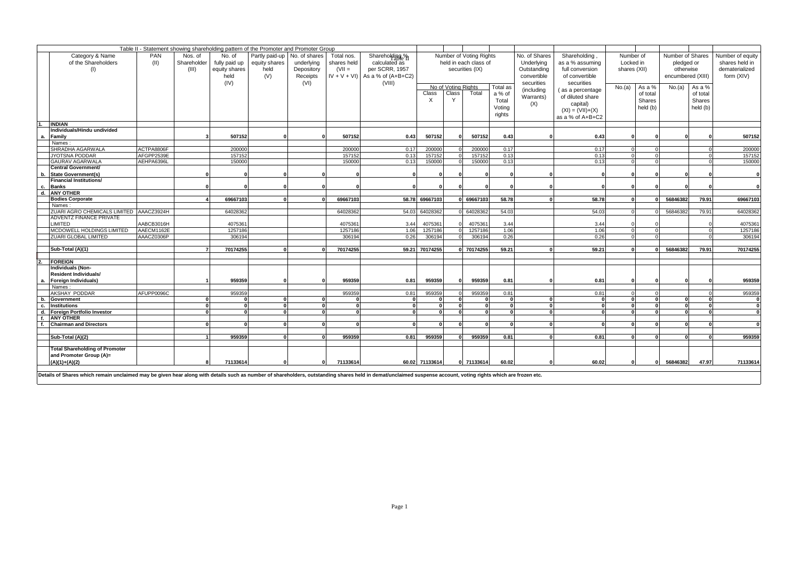| Table II - Statement showing shareholding pattern of the Promoter and Promoter Group |                                                                                              |            |             |               |               |            |              |                                              |                         |                     |                       |          |                |                              |              |              |                   |               |                  |
|--------------------------------------------------------------------------------------|----------------------------------------------------------------------------------------------|------------|-------------|---------------|---------------|------------|--------------|----------------------------------------------|-------------------------|---------------------|-----------------------|----------|----------------|------------------------------|--------------|--------------|-------------------|---------------|------------------|
|                                                                                      | Category & Name<br>PAN<br>Partly paid-up<br>No. of shares<br>Total nos.<br>Nos. of<br>No. of |            |             |               |               |            |              |                                              | Number of Voting Rights |                     |                       |          | No. of Shares  | Shareholding                 |              | Number of    | Number of Shares  |               | Number of equity |
|                                                                                      | of the Shareholders                                                                          | (II)       | Shareholder | fully paid up | equity shares | underlying | shares held  | Shareholding <sup>o</sup> n<br>calculated as |                         |                     | held in each class of |          | Underlying     | as a % assuming<br>Locked in |              |              | pledged or        |               | shares held in   |
|                                                                                      | (1)                                                                                          |            | (III)       | equity shares | held          | Depository | $(VII =$     | per SCRR, 1957                               |                         |                     | securities (IX)       |          | Outstanding    | full conversion              | shares (XII) |              | otherwise         |               | dematerialized   |
|                                                                                      |                                                                                              |            |             | held          | (V)           | Receipts   |              | $IV + V + VI$ ) As a % of (A+B+C2)           |                         |                     |                       |          | convertible    | of convertible               |              |              | encumbered (XIII) |               | form (XIV)       |
|                                                                                      |                                                                                              |            |             | (IV)          |               | (VI)       |              | (VIII)                                       |                         |                     |                       |          | securities     | securities                   |              |              |                   |               |                  |
|                                                                                      |                                                                                              |            |             |               |               |            |              |                                              |                         | No of Voting Rights |                       | Total as | (including     |                              | No.(a)       | As a %       | No.(a)            | As a %        |                  |
|                                                                                      |                                                                                              |            |             |               |               |            |              |                                              | Class                   | Class               | Total                 | a % of   |                | (as a percentage             |              | of total     |                   | of total      |                  |
|                                                                                      |                                                                                              |            |             |               |               |            |              |                                              | $\times$                | Y                   |                       | Total    | Warrants)      | of diluted share             |              | Shares       |                   | <b>Shares</b> |                  |
|                                                                                      |                                                                                              |            |             |               |               |            |              |                                              |                         |                     |                       | Voting   | (X)            | capital)                     |              | held (b)     |                   | held (b)      |                  |
|                                                                                      |                                                                                              |            |             |               |               |            |              |                                              |                         |                     |                       | rights   |                | $(XI) = (VII)+(X)$           |              |              |                   |               |                  |
|                                                                                      |                                                                                              |            |             |               |               |            |              |                                              |                         |                     |                       |          |                | as a % of A+B+C2             |              |              |                   |               |                  |
|                                                                                      | <b>INDIAN</b>                                                                                |            |             |               |               |            |              |                                              |                         |                     |                       |          |                |                              |              |              |                   |               |                  |
|                                                                                      | Individuals/Hindu undivided                                                                  |            |             |               |               |            |              |                                              |                         |                     |                       |          |                |                              |              |              |                   |               |                  |
| a.                                                                                   | Family                                                                                       |            |             | 507152        |               |            | 507152       | 0.43                                         | 507152                  |                     | 507152                | 0.43     |                | 0.43                         |              |              | $\Omega$          |               | 507152           |
|                                                                                      | Names                                                                                        |            |             |               |               |            |              |                                              |                         |                     |                       |          |                |                              |              |              |                   |               |                  |
|                                                                                      | SHRADHA AGARWALA                                                                             | ACTPA8806F |             | 200000        |               |            | 200000       | 0.17                                         | 200000                  |                     | 200000                | 0.17     |                | 0.17                         | $\Omega$     |              |                   |               | 200000           |
|                                                                                      | JYOTSNA PODDAR                                                                               | AFGPP2539E |             | 157152        |               |            | 157152       | 0.13                                         | 157152                  |                     | 157152                | 0.13     |                | 0.13                         | $\Omega$     |              |                   |               | 157152           |
|                                                                                      | <b>GAURAV AGARWALA</b>                                                                       | AEHPA6396L |             | 150000        |               |            | 150000       | 0.13                                         | 150000                  |                     | 150000                | 0.13     |                | 0.13                         | $\Omega$     |              |                   |               | 150000           |
|                                                                                      | Central Government/                                                                          |            |             |               |               |            |              |                                              |                         |                     |                       |          |                |                              |              |              |                   |               |                  |
| b.                                                                                   | <b>State Government(s)</b>                                                                   |            |             |               |               |            |              |                                              |                         |                     |                       |          |                | $\Omega$                     |              |              | $\Omega$          |               | $\mathbf{0}$     |
|                                                                                      | <b>Financial Institutions/</b>                                                               |            |             |               |               |            |              |                                              |                         |                     |                       |          |                |                              |              |              |                   |               |                  |
| с.                                                                                   | <b>Banks</b>                                                                                 |            |             |               |               |            |              |                                              |                         |                     |                       |          |                |                              |              |              | $\Omega$          |               | $\Omega$         |
|                                                                                      | d. ANY OTHER                                                                                 |            |             |               |               |            |              |                                              |                         |                     |                       |          |                |                              |              |              |                   |               |                  |
|                                                                                      | <b>Bodies Corporate</b>                                                                      |            |             | 69667103      | $\Omega$      |            | 69667103     |                                              | 58.78 69667103          |                     | 69667103              | 58.78    | n              | 58.78                        | $\Omega$     | $\Omega$     | 56846382          | 79.91         | 69667103         |
|                                                                                      | Names:                                                                                       |            |             |               |               |            |              |                                              |                         |                     |                       |          |                |                              |              |              |                   |               |                  |
|                                                                                      | ZUARI AGRO CHEMICALS LIMITED AAACZ3924H                                                      |            |             | 64028362      |               |            | 64028362     | 54.03                                        | 64028362                |                     | 6402836               | 54.03    |                | 54.03                        |              |              | 56846382          | 79.91         | 64028362         |
|                                                                                      | ADVENTZ FINANCE PRIVATE                                                                      |            |             |               |               |            |              |                                              |                         |                     |                       |          |                |                              |              |              |                   |               |                  |
|                                                                                      | <b>LIMITED</b>                                                                               | AABCB3016H |             | 4075361       |               |            | 4075361      | 3.44                                         | 4075361                 |                     | 4075361               | 3.44     |                | 3.44                         |              |              |                   |               | 4075361          |
|                                                                                      | MCDOWELL HOLDINGS LIMITED                                                                    | AAECM1162E |             | 1257186       |               |            | 1257186      | 1.06                                         | 1257186                 |                     | 1257186               | 1.06     |                | 1.06                         | $\Omega$     |              |                   |               | 1257186          |
|                                                                                      | ZUARI GLOBAL LIMITED                                                                         | AAACZ0306P |             | 306194        |               |            | 306194       | 0.26                                         | 306194                  |                     | 306194                | 0.26     |                | 0.26                         | $\Omega$     |              |                   |               | 306194           |
|                                                                                      |                                                                                              |            |             |               |               |            |              |                                              |                         |                     |                       |          |                |                              |              |              |                   |               |                  |
|                                                                                      | Sub-Total (A)(1)                                                                             |            |             | 70174255      |               |            | 70174255     |                                              | 59.21 70174255          |                     | 70174255              | 59.21    |                | 59.21                        |              |              | 56846382          | 79.91         | 70174255         |
|                                                                                      |                                                                                              |            |             |               |               |            |              |                                              |                         |                     |                       |          |                |                              |              |              |                   |               |                  |
| $\mathbf{p}$                                                                         | <b>FOREIGN</b><br><b>Individuals (Non-</b>                                                   |            |             |               |               |            |              |                                              |                         |                     |                       |          |                |                              |              |              |                   |               |                  |
|                                                                                      | <b>Resident Individuals/</b>                                                                 |            |             |               |               |            |              |                                              |                         |                     |                       |          |                |                              |              |              |                   |               |                  |
|                                                                                      | Foreign Individuals)                                                                         |            |             | 959359        |               |            | 959359       | 0.81                                         | 959359                  |                     | 959359                | 0.81     |                |                              | $\Omega$     |              | $\mathbf{r}$      |               | 959359           |
| а.                                                                                   | Names:                                                                                       |            |             |               |               |            |              |                                              |                         |                     |                       |          |                | 0.81                         |              |              |                   |               |                  |
|                                                                                      | AKSHAY PODDAR                                                                                | AFUPP0096C |             | 959359        |               |            | 959359       | 0.81                                         | 959359                  |                     | 95935                 | 0.81     |                | 0.81                         |              |              |                   |               | 959359           |
| b.                                                                                   | Government                                                                                   |            |             | $\sqrt{2}$    |               |            | O            |                                              |                         |                     |                       | $\Omega$ | $\Omega$       | $\Omega$                     | - O          | $\Omega$     | $\Omega$          |               | $\Omega$         |
| c.                                                                                   | <b>Institutions</b>                                                                          |            |             | $\Omega$      | $\mathbf{r}$  |            | $\Omega$     | $\Omega$                                     |                         |                     | $\Omega$              | $\Omega$ | $\mathbf{0}$   | $\mathbf{o}$                 | $\Omega$     | $\mathbf{0}$ | $\mathbf{0}$      | $\Omega$      | $\mathbf{0}$     |
| d.                                                                                   | Foreign Portfolio Investor                                                                   |            |             | $\mathbf{r}$  | $\mathbf{r}$  |            | $\Omega$     | $\sqrt{2}$                                   |                         |                     | $\Omega$              |          | $\overline{0}$ | $\Omega$                     | $\sqrt{2}$   | $\Omega$     | $\mathbf{r}$      |               | $\mathbf{0}$     |
|                                                                                      | <b>ANY OTHER</b>                                                                             |            |             |               |               |            |              |                                              |                         |                     |                       |          |                |                              |              |              |                   |               |                  |
| f.                                                                                   | <b>Chairman and Directors</b>                                                                |            |             | $\sqrt{2}$    | $\Omega$      |            | $\mathbf{a}$ |                                              |                         |                     |                       | $\Omega$ | $\Omega$       | $\mathbf{0}$                 | $\Omega$     | $\mathbf{0}$ | $\Omega$          |               | $\Omega$         |
|                                                                                      |                                                                                              |            |             |               |               |            |              |                                              |                         |                     |                       |          |                |                              |              |              |                   |               |                  |
|                                                                                      | Sub-Total (A)(2)                                                                             |            |             | 959359        |               |            | 959359       | 0.81                                         | 959359                  |                     | 959359                | 0.81     |                | 0.81                         |              |              |                   |               | 959359           |
|                                                                                      |                                                                                              |            |             |               |               |            |              |                                              |                         |                     |                       |          |                |                              |              |              |                   |               |                  |
|                                                                                      | <b>Total Shareholding of Promoter</b>                                                        |            |             |               |               |            |              |                                              |                         |                     |                       |          |                |                              |              |              |                   |               |                  |
|                                                                                      | and Promoter Group (A)=                                                                      |            |             |               |               |            |              |                                              |                         |                     |                       |          |                |                              |              |              |                   |               |                  |
|                                                                                      | $(A)(1)+(A)(2)$                                                                              |            |             | 71133614      |               |            | 71133614     |                                              | 60.02 71133614          |                     | 0 71133614            | 60.02    |                | 60.02                        | $\Omega$     |              | 56846382          | 47.97         | 71133614         |
|                                                                                      |                                                                                              |            |             |               |               |            |              |                                              |                         |                     |                       |          |                |                              |              |              |                   |               |                  |
|                                                                                      | at all a left Observe a colube                                                               |            |             |               |               |            |              |                                              |                         |                     |                       |          |                |                              |              |              |                   |               |                  |

**Details of Shares which remain unclaimed may be given hear along with details such as number of shareholders, outstanding shares held in demat/unclaimed suspense account, voting rights which are frozen etc.**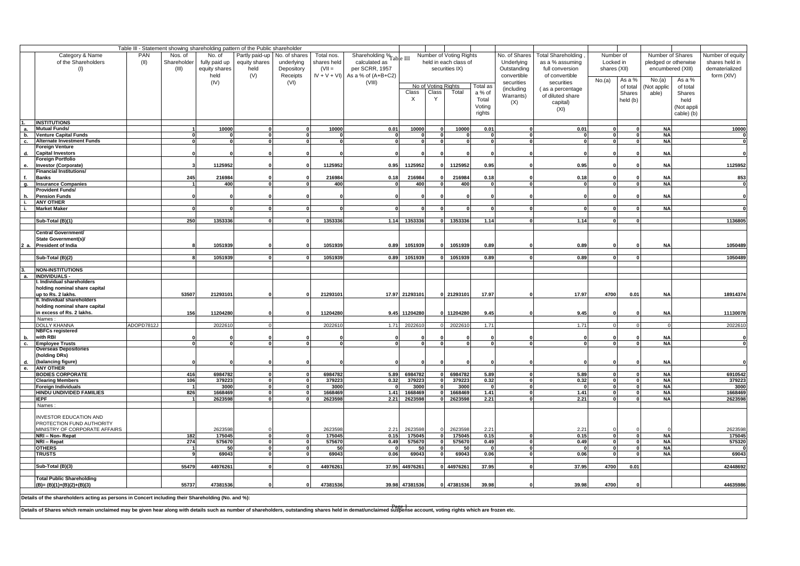|                |                                                                   |            |               |                   | Table III - Statement showing shareholding pattern of the Public shareholder |               |                   |                                    |                              |                              |                         |              |                      |                           |                          |                              |                        |                    |                                         |
|----------------|-------------------------------------------------------------------|------------|---------------|-------------------|------------------------------------------------------------------------------|---------------|-------------------|------------------------------------|------------------------------|------------------------------|-------------------------|--------------|----------------------|---------------------------|--------------------------|------------------------------|------------------------|--------------------|-----------------------------------------|
|                | Category & Name                                                   | PAN        | Nos. of       | No. of            | Partly paid-up                                                               | No. of shares | Total nos.        | Shareholding % Table III           |                              |                              | Number of Voting Rights |              | No. of Shares        | <b>Total Shareholding</b> | Number of                |                              | Number of Shares       |                    | Number of equity                        |
|                | of the Shareholders                                               | (II)       | Shareholder   | fully paid up     | equity shares                                                                | underlying    | shares held       | calculated as                      |                              |                              | held in each class of   |              | Underlying           | as a % assuming           | Locked in                |                              | pledged or otherwise   |                    | shares held in                          |
|                | (1)                                                               |            | (III)         | equity shares     | held                                                                         | Depository    | $(VII =$          | per SCRR, 1957                     |                              |                              | securities IX)          |              | Outstanding          | full conversion           | shares (XII)             |                              |                        | encumbered (XIII)  | dematerialized                          |
|                |                                                                   |            |               | held              | (V)                                                                          | Receipts      |                   | $IV + V + VI$ ) As a % of (A+B+C2) |                              |                              |                         |              | convertible          | of convertible            |                          |                              |                        |                    | form (XIV)                              |
|                |                                                                   |            |               | (IV)              |                                                                              | (VI)          |                   | (VIII)                             |                              | No of Voting Rights          |                         | Total as     | securities           | securities                | No.(a)                   | As a %                       | No.(a)                 | As a %<br>of total |                                         |
|                |                                                                   |            |               |                   |                                                                              |               |                   |                                    | Class                        | Class                        | Total                   | a % of       | (including           | (as a percentage          |                          | of total<br>Shares           | (Not applic            |                    |                                         |
|                |                                                                   |            |               |                   |                                                                              |               |                   |                                    | $\boldsymbol{\mathsf{X}}$    | Y                            |                         | Total        | Warrants)            | of diluted share          |                          |                              | able)                  | Shares             |                                         |
|                |                                                                   |            |               |                   |                                                                              |               |                   |                                    |                              |                              |                         | Voting       | (X)                  | capital)                  |                          | held (b)                     |                        | held               |                                         |
|                |                                                                   |            |               |                   |                                                                              |               |                   |                                    |                              |                              |                         | rights       |                      | (XI)                      |                          |                              |                        | Not appli          |                                         |
|                |                                                                   |            |               |                   |                                                                              |               |                   |                                    |                              |                              |                         |              |                      |                           |                          |                              |                        | cable) (b)         |                                         |
|                | <b>INSTITUTIONS</b>                                               |            |               |                   |                                                                              |               |                   |                                    |                              |                              |                         |              |                      |                           |                          |                              |                        |                    |                                         |
| а.             | <b>Mutual Funds/</b>                                              |            |               | 10000             | $\Omega$                                                                     |               | 10000             | 0.01                               | 10000                        | $\mathbf{0}$                 | 10000                   | 0.01         | $\Omega$<br>$\Omega$ | 0.01                      | $\Omega$                 |                              | <b>NA</b>              |                    | 10000                                   |
| b.<br>с.       | <b>Venture Capital Funds</b><br><b>Alternate Investment Funds</b> |            | 0<br>$\Omega$ | $\mathbf{0}$      | $\mathbf{0}$                                                                 |               | $\mathbf{a}$      | $\mathbf 0$                        | $\mathbf{0}$<br>$\mathbf{0}$ | $\mathbf{0}$<br>$\mathbf{0}$ | $\mathbf{r}$            | $\mathbf{r}$ | $\mathbf{0}$         | 0<br>$\Omega$             | $\mathbf{0}$<br>$\Omega$ | $\mathbf{0}$<br>$\mathbf{r}$ | <b>NA</b><br><b>NA</b> |                    | $\mathbf 0$<br>$\overline{\phantom{a}}$ |
|                | <b>Foreign Venture</b>                                            |            |               |                   |                                                                              |               |                   |                                    |                              |                              |                         |              |                      |                           |                          |                              |                        |                    |                                         |
| d.             | <b>Capital Investors</b>                                          |            |               |                   |                                                                              |               |                   |                                    |                              |                              |                         |              | $\mathbf{r}$         |                           |                          |                              | <b>NA</b>              |                    |                                         |
|                | <b>Foreign Portfolio</b>                                          |            |               |                   |                                                                              |               |                   |                                    |                              |                              |                         |              |                      |                           |                          |                              |                        |                    |                                         |
| е.             | <b>Investor (Corporate)</b>                                       |            |               | 1125952           |                                                                              |               | 1125952           | 0.95                               | 1125952                      |                              | 1125952                 | 0.95         |                      | 0.95                      |                          |                              | <b>NA</b>              |                    | 1125952                                 |
|                | <b>Financial Institutions/</b>                                    |            |               |                   |                                                                              |               |                   |                                    |                              |                              |                         |              |                      |                           |                          |                              |                        |                    |                                         |
| f.             | <b>Banks</b>                                                      |            | 245           | 216984            |                                                                              |               | 216984            | 0.18                               | 216984                       |                              | 216984                  | 0.18         |                      | 0.18                      |                          |                              | <b>NA</b>              |                    | 853                                     |
| <b>g.</b>      | <b>Insurance Companies</b><br><b>Provident Funds/</b>             |            |               | 400               | $\Omega$                                                                     |               | 400               | $\Omega$                           | 400                          | 0                            | 400                     |              | $\Omega$             | $\Omega$                  | $\Omega$                 |                              | <b>NA</b>              |                    | $\mathbf{0}$                            |
| h              | <b>Pension Funds</b>                                              |            |               |                   |                                                                              |               |                   |                                    |                              |                              |                         |              |                      |                           |                          |                              | <b>NA</b>              |                    | $\Omega$                                |
| $\mathbf{i}$ . | <b>ANY OTHER</b>                                                  |            |               |                   |                                                                              |               |                   |                                    |                              |                              |                         |              |                      |                           |                          |                              |                        |                    |                                         |
| i.             | <b>Market Maker</b>                                               |            | $\Omega$      |                   |                                                                              |               |                   |                                    | $\mathbf{r}$                 | n                            |                         |              | - 0                  | $\mathbf{r}$              | $\mathbf{r}$             |                              | <b>NA</b>              |                    | $\mathbf 0$                             |
|                |                                                                   |            |               |                   |                                                                              |               |                   |                                    |                              |                              |                         |              |                      |                           |                          |                              |                        |                    |                                         |
|                | Sub-Total (B)(1)                                                  |            | 250           | 1353336           | $\mathbf{0}$                                                                 |               | 1353336           | 1.14                               | 1353336                      | $\Omega$                     | 1353336                 | 1.14         | $\Omega$             | 1.14                      | $\Omega$                 | $\Omega$                     |                        |                    | 1136805                                 |
|                |                                                                   |            |               |                   |                                                                              |               |                   |                                    |                              |                              |                         |              |                      |                           |                          |                              |                        |                    |                                         |
|                | <b>Central Government/</b>                                        |            |               |                   |                                                                              |               |                   |                                    |                              |                              |                         |              |                      |                           |                          |                              |                        |                    |                                         |
| 2 a.           | <b>State Government(s)/</b><br><b>President of India</b>          |            |               | 1051939           |                                                                              |               | 1051939           | 0.89                               | 1051939                      |                              | 1051939                 | 0.89         |                      | 0.89                      |                          |                              | <b>NA</b>              |                    |                                         |
|                |                                                                   |            |               |                   |                                                                              |               |                   |                                    |                              |                              |                         |              |                      |                           |                          |                              |                        |                    | 1050489                                 |
|                | Sub-Total (B)(2)                                                  |            |               | 1051939           | $\mathbf{r}$                                                                 |               | 1051939           | 0.89                               | 1051939                      |                              | 1051939                 | 0.89         |                      | 0.89                      | <sup>0</sup>             |                              |                        |                    | 1050489                                 |
|                |                                                                   |            |               |                   |                                                                              |               |                   |                                    |                              |                              |                         |              |                      |                           |                          |                              |                        |                    |                                         |
|                | <b>NON-INSTITUTIONS</b>                                           |            |               |                   |                                                                              |               |                   |                                    |                              |                              |                         |              |                      |                           |                          |                              |                        |                    |                                         |
| а.             | <b>INDIVIDUALS -</b>                                              |            |               |                   |                                                                              |               |                   |                                    |                              |                              |                         |              |                      |                           |                          |                              |                        |                    |                                         |
|                | I. Individual shareholders                                        |            |               |                   |                                                                              |               |                   |                                    |                              |                              |                         |              |                      |                           |                          |                              |                        |                    |                                         |
|                | holding nominal share capital<br>up to Rs. 2 lakhs.               |            | 53507         | 21293101          |                                                                              |               | 21293101          | 17.97                              | 21293101                     |                              | 21293101                | 17.97        | $\Omega$             | 17.97                     | 4700                     | 0.01                         | <b>NA</b>              |                    | 18914374                                |
|                | II. Individual shareholders                                       |            |               |                   |                                                                              |               |                   |                                    |                              |                              |                         |              |                      |                           |                          |                              |                        |                    |                                         |
|                | holding nominal share capital                                     |            |               |                   |                                                                              |               |                   |                                    |                              |                              |                         |              |                      |                           |                          |                              |                        |                    |                                         |
|                | in excess of Rs. 2 lakhs.                                         |            | 156           | 11204280          |                                                                              |               | 11204280          | 9.45                               | 11204280                     |                              | 0 11204280              | 9.45         |                      | 9.45                      |                          |                              | <b>NA</b>              |                    | 11130078                                |
|                | Names                                                             |            |               |                   |                                                                              |               |                   |                                    |                              |                              |                         |              |                      |                           |                          |                              |                        |                    |                                         |
|                | <b>DOLLY KHANNA</b>                                               | ADOPD7812J |               | 2022610           |                                                                              |               | 202261            | 1.71                               | 202261                       |                              | 202261                  | 1.71         |                      | 1.71                      |                          |                              |                        |                    | 2022610                                 |
| b.             | <b>NBFCs registered</b><br>with RBI                               |            |               |                   |                                                                              |               |                   |                                    |                              |                              |                         |              |                      | $\Omega$                  |                          |                              | <b>NA</b>              |                    | $\mathbf{0}$                            |
| С.             | <b>Employee Trusts</b>                                            |            | <b>n</b>      | $\mathbf{r}$      | $\Omega$                                                                     |               | $\mathbf{r}$      | $\Omega$                           | $\Omega$                     | $\mathbf{a}$                 | $\mathbf{r}$            |              | э                    | э                         | $\Omega$                 | $\mathbf{r}$                 | <b>NA</b>              |                    | $\overline{\mathbf{0}}$                 |
|                | <b>Overseas Depositories</b>                                      |            |               |                   |                                                                              |               |                   |                                    |                              |                              |                         |              |                      |                           |                          |                              |                        |                    |                                         |
|                | (holding DRs)                                                     |            |               |                   |                                                                              |               |                   |                                    |                              |                              |                         |              |                      |                           |                          |                              |                        |                    |                                         |
| d.             | (balancing figure)                                                |            |               |                   |                                                                              |               |                   |                                    |                              |                              |                         |              | $\Omega$             | n                         |                          |                              | <b>NA</b>              |                    | $\mathbf{0}$                            |
| е.             | <b>ANY OTHER</b>                                                  |            |               |                   |                                                                              |               |                   |                                    |                              |                              |                         |              |                      |                           |                          |                              |                        |                    |                                         |
|                | <b>BODIES CORPORATE</b>                                           |            | 416           | 6984782           |                                                                              |               | 6984782           | 5.89                               | 6984782                      |                              | 6984782                 | 5.89         | 0                    | 5.89                      |                          |                              | <b>NA</b>              |                    | 6910542                                 |
|                | <b>Clearing Members</b>                                           |            | 106           | 379223<br>3000    | $\Omega$                                                                     |               | 379223<br>3000    | 0.32<br>$\Omega$                   | 379223<br>3000               | $\Omega$                     | 379223<br>3000          | 0.32<br>- 0  | $\Omega$<br>- 0      | 0.32<br>$\mathbf{0}$      | $\Omega$<br>$\Omega$     | n                            | <b>NA</b><br><b>NA</b> |                    | 379223<br>3000                          |
|                | <b>Foreign Individuals</b><br><b>HINDU UNDIVIDED FAMILIES</b>     |            | 826           | 1668469           | $\mathbf{r}$                                                                 |               | 1668469           | 1.41                               | 1668469                      | <sup>0</sup>                 | 1668469                 | 1.41         | $\Omega$             | 1.41                      | $\Omega$                 | $\Omega$                     | <b>NA</b>              |                    | 1668469                                 |
|                | <b>IEPF</b>                                                       |            |               | 2623598           |                                                                              |               | 2623598           | 2.21                               | 2623598                      | 0                            | 2623598                 | 2.21         | $\Omega$             | 2.21                      |                          | n                            | <b>NA</b>              |                    | 2623598                                 |
|                | Names                                                             |            |               |                   |                                                                              |               |                   |                                    |                              |                              |                         |              |                      |                           |                          |                              |                        |                    |                                         |
|                |                                                                   |            |               |                   |                                                                              |               |                   |                                    |                              |                              |                         |              |                      |                           |                          |                              |                        |                    |                                         |
|                | INVESTOR EDUCATION AND                                            |            |               |                   |                                                                              |               |                   |                                    |                              |                              |                         |              |                      |                           |                          |                              |                        |                    |                                         |
|                | PROTECTION FUND AUTHORITY                                         |            |               |                   |                                                                              |               |                   |                                    |                              |                              |                         |              |                      |                           |                          |                              |                        |                    |                                         |
|                | MINISTRY OF CORPORATE AFFAIRS<br>NRI - Non-Repat                  |            | 182           | 2623598<br>175045 | $\mathbf{0}$                                                                 |               | 2623598<br>175045 | 2.21                               | 262359<br>175045             | $\Omega$                     | 2623598<br>175045       | 2.21<br>0.15 | $\Omega$             | 2.21<br>0.15              | $\Omega$                 | $\Omega$                     | <b>NA</b>              |                    | 2623598<br>175045                       |
|                | NRI - Repat                                                       |            | 274           | 575670            | $\mathbf{0}$                                                                 |               | 575670            | 0.15<br>0.49                       | 575670                       | $\bf{0}$                     | 575670                  | 0.49         | $\Omega$             | 0.49                      | $\mathbf{0}$             |                              | ΝA                     |                    | 575320                                  |
|                | <b>OTHERS</b>                                                     |            |               | 50                | $\Omega$                                                                     |               | 50                |                                    | 50                           | $\Omega$                     | 50                      | $\Omega$     | $\Omega$             | $\Omega$                  | $\Omega$                 |                              | <b>NA</b>              |                    | $\mathbf{0}$                            |
|                | <b>TRUSTS</b>                                                     |            | q             | 69043             | $\Omega$                                                                     |               | 69043             | 0.06                               | 69043                        | $\Omega$                     | 69043                   | 0.06         |                      | 0.06                      | $\mathbf{a}$             |                              | <b>NA</b>              |                    | 69043                                   |
|                |                                                                   |            |               |                   |                                                                              |               |                   |                                    |                              |                              |                         |              |                      |                           |                          |                              |                        |                    |                                         |
|                | Sub-Total (B)(3)                                                  |            | 55479         | 44976261          |                                                                              |               | 4497626           |                                    | 37.95 44976261               |                              | 0 44976261              | 37.95        |                      | 37.95                     | 4700                     | 0.01                         |                        |                    | 42448692                                |
|                | <b>Total Public Shareholding</b>                                  |            |               |                   |                                                                              |               |                   |                                    |                              |                              |                         |              |                      |                           |                          |                              |                        |                    |                                         |
|                | $(B)=(B)(1)+(B)(2)+(B)(3)$                                        |            | 55737         | 47381536          |                                                                              |               | 47381536          | 39.98                              | 47381536                     |                              | 47381536                | 39.98        |                      | 39.98                     | 4700                     |                              |                        |                    | 44635986                                |
|                |                                                                   |            |               |                   |                                                                              |               |                   |                                    |                              |                              |                         |              |                      |                           |                          |                              |                        |                    |                                         |

**Details of the shareholders acting as persons in Concert including their Shareholding (No. and %):** 

**Details of Shares which remain unclaimed may be given hear along with details such as number of shareholders, outstanding shares held in demat/unclaimed suspense account, voting rights which are frozen etc.**  Page 1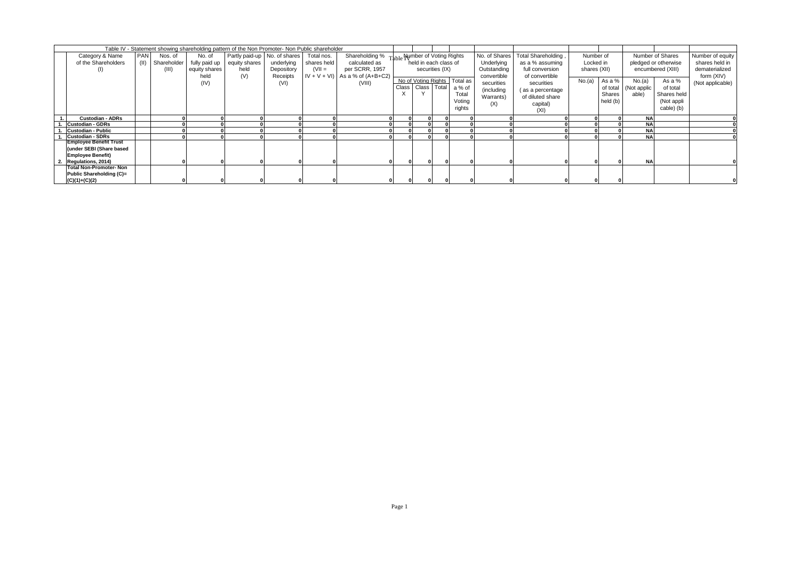| Table IV - Statement showing shareholding pattern of the Non Promoter- Non Public shareholder |                               |            |                  |               |                              |            |             |                                              |          |                       |                              |               |                     |              |          |             |                      |                  |
|-----------------------------------------------------------------------------------------------|-------------------------------|------------|------------------|---------------|------------------------------|------------|-------------|----------------------------------------------|----------|-----------------------|------------------------------|---------------|---------------------|--------------|----------|-------------|----------------------|------------------|
|                                                                                               | Category & Name               | <b>PAN</b> | Nos. of          | No. of        | Partly paid-up No. of shares |            | Total nos.  | Shareholding % Table Number of Voting Rights |          |                       |                              | No. of Shares | Total Shareholding, | Number of    |          |             | Number of Shares     | Number of equity |
|                                                                                               | of the Shareholders           |            | (II) Shareholder | fully paid up | equity shares                | underlying | shares held | calculated as                                |          | held in each class of |                              | Underlying    | as a % assuming     | Locked in    |          |             | pledged or otherwise | shares held in   |
|                                                                                               | (1)                           |            | (III)            | equity shares | held                         | Depository | $(VII =$    | per SCRR, 1957                               |          | securities (IX)       |                              | Outstanding   | full conversion     | shares (XII) |          |             | encumbered (XIII)    | dematerialized   |
|                                                                                               |                               |            |                  | held          | (V)                          | Receipts   |             | $IV + V + VI$ ) As a % of (A+B+C2)           |          |                       |                              | convertible   | of convertible      |              |          |             |                      | form (XIV)       |
|                                                                                               |                               |            |                  | (IV)          |                              | (VI)       |             | (VIII)                                       |          |                       | No of Voting Rights Total as | securities    | securities          | No.(a)       | As a %   | No.(a)      | As a %               | (Not applicable) |
|                                                                                               |                               |            |                  |               |                              |            |             |                                              | Class    |                       | Class Total a % of           | (including    | (as a percentage    |              | of total | (Not applic | of total             |                  |
|                                                                                               |                               |            |                  |               |                              |            |             |                                              | $\times$ |                       | Total                        | Warrants)     | of diluted share    |              | Shares   | able)       | Shares held          |                  |
|                                                                                               |                               |            |                  |               |                              |            |             |                                              |          |                       | Voting                       | (X)           | capital)            |              | held (b) |             | (Not appli           |                  |
|                                                                                               |                               |            |                  |               |                              |            |             |                                              |          |                       | rights                       |               | (XI)                |              |          |             | cable) (b)           |                  |
|                                                                                               | <b>Custodian - ADRs</b>       |            |                  |               |                              |            |             |                                              |          | 0.                    |                              |               |                     |              |          | <b>NAI</b>  |                      |                  |
|                                                                                               | <b>Custodian - GDRs</b>       |            |                  |               |                              |            |             |                                              |          |                       |                              |               |                     |              |          | <b>NA</b>   |                      |                  |
|                                                                                               | <b>Custodian - Public</b>     |            |                  |               |                              |            |             |                                              |          |                       |                              |               |                     |              |          | <b>NAI</b>  |                      |                  |
|                                                                                               | <b>Custodian - SDRs</b>       |            |                  |               |                              |            |             |                                              |          |                       |                              |               |                     |              |          | <b>NAI</b>  |                      |                  |
|                                                                                               | <b>Employee Benefit Trust</b> |            |                  |               |                              |            |             |                                              |          |                       |                              |               |                     |              |          |             |                      |                  |
|                                                                                               | (under SEBI (Share based      |            |                  |               |                              |            |             |                                              |          |                       |                              |               |                     |              |          |             |                      |                  |
|                                                                                               | <b>Employee Benefit)</b>      |            |                  |               |                              |            |             |                                              |          |                       |                              |               |                     |              |          |             |                      |                  |
|                                                                                               | 2. Regulations, 2014)         |            |                  |               |                              |            |             |                                              |          | 0.                    |                              |               |                     |              |          | <b>NA</b>   |                      |                  |
|                                                                                               | <b>Total Non-Promoter-Non</b> |            |                  |               |                              |            |             |                                              |          |                       |                              |               |                     |              |          |             |                      |                  |
|                                                                                               | Public Shareholding (C)=      |            |                  |               |                              |            |             |                                              |          |                       |                              |               |                     |              |          |             |                      |                  |
|                                                                                               | $(C)(1)+(C)(2)$               |            |                  |               |                              |            |             |                                              |          |                       |                              |               |                     |              |          |             |                      |                  |